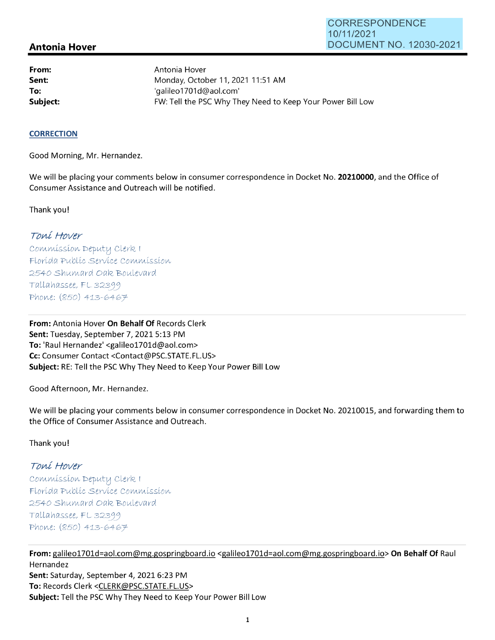# **Antonia Hover**

**From: Sent: To:** 

Antonia Hover Monday, October 11, 2021 11:51 AM 'galileo1701 d@aol.com' **Subject: EXALG:** FW: Tell the PSC Why They Need to Keep Your Power Bill Low

### **CORRECTION**

Good Morning, Mr. Hernandez.

We will be placing your comments below in consumer correspondence in Docket No. **20210000,** and the Office of Consumer Assistance and Outreach will be notified.

Thank you!

## Toní Hover

Commission Deputy Clerk I Florída Publíc Servíce Commission 2540 Shumard Oak Boulevard Tallahassee, FL 32399 Phone: *(850)* 413-6467

**From:** Antonia Hover **On Behalf Of** Records Clerk Sent: Tuesday, September 7, 2021 5:13 PM To: 'Raul Hernandez' <galileo1701d@aol.com> **Cc:** Consumer Contact <Contact@PSC.STATE.FL.US> **Subject:** RE: Tell the PSC Why They Need to Keep Your Power Bill Low

Good Afternoon, Mr. Hernandez.

We will be placing your comments below in consumer correspondence in Docket No. 20210015, and forwarding them to the Office of Consumer Assistance and Outreach.

#### Thank you!

## Toní Hover

Commission Deputy Clerk I Florída Publíc Service Commission 2540 Shumard Oak Boulevard Tallahassee, FL 32399 Phone: *(850)* 413-6467

**From:** gali1eo1701d=aol.com@mg.gospringboard.io <gali1eo1701d=aol.com@mg.gospringboard.io> **On Behalf Of** Raul Hernandez **Sent:** Saturday, September 4, 2021 6:23 PM **To:** Records Clerk <CLERK@PSC.STATE.FL.US> **Subject:** Tell the PSC Why They Need to Keep Your Power Bill Low